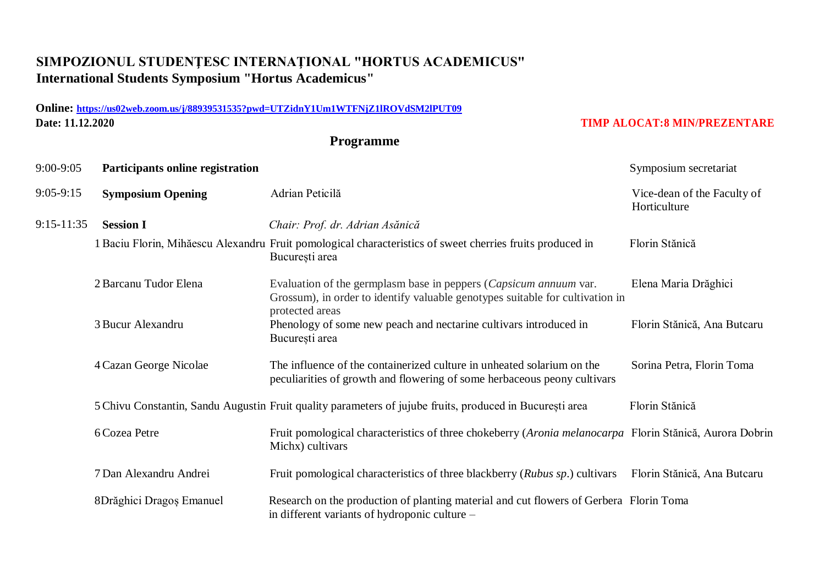## **SIMPOZIONUL STUDENŢESC INTERNAŢIONAL "HORTUS ACADEMICUS" International Students Symposium "Hortus Academicus"**

## **Online: <https://us02web.zoom.us/j/88939531535?pwd=UTZidnY1Um1WTFNjZ1lROVdSM2lPUT09> Date: 11.12.2020 TIMP ALOCAT:8 MIN/PREZENTARE**

## **Programme**

| 9:00-9:05      | Participants online registration |                                                                                                                                                                                | Symposium secretariat                       |
|----------------|----------------------------------|--------------------------------------------------------------------------------------------------------------------------------------------------------------------------------|---------------------------------------------|
| $9:05-9:15$    | <b>Symposium Opening</b>         | Adrian Peticilă                                                                                                                                                                | Vice-dean of the Faculty of<br>Horticulture |
| $9:15 - 11:35$ | <b>Session I</b>                 | Chair: Prof. dr. Adrian Asănică                                                                                                                                                |                                             |
|                |                                  | 1 Baciu Florin, Mihăescu Alexandru Fruit pomological characteristics of sweet cherries fruits produced in<br>București area                                                    | Florin Stănică                              |
|                | 2 Barcanu Tudor Elena            | Evaluation of the germplasm base in peppers ( <i>Capsicum annuum var</i> .<br>Grossum), in order to identify valuable genotypes suitable for cultivation in<br>protected areas | Elena Maria Drăghici                        |
|                | 3 Bucur Alexandru                | Phenology of some new peach and nectarine cultivars introduced in<br>București area                                                                                            | Florin Stănică, Ana Butcaru                 |
|                | 4 Cazan George Nicolae           | The influence of the containerized culture in unheated solarium on the<br>peculiarities of growth and flowering of some herbaceous peony cultivars                             | Sorina Petra, Florin Toma                   |
|                |                                  | 5 Chivu Constantin, Sandu Augustin Fruit quality parameters of jujube fruits, produced in București area                                                                       | Florin Stănică                              |
|                | 6 Cozea Petre                    | Fruit pomological characteristics of three chokeberry (Aronia melanocarpa Florin Stănică, Aurora Dobrin<br>Michx) cultivars                                                    |                                             |
|                | 7 Dan Alexandru Andrei           | Fruit pomological characteristics of three blackberry (Rubus sp.) cultivars                                                                                                    | Florin Stănică, Ana Butcaru                 |
|                | 8Drăghici Dragoș Emanuel         | Research on the production of planting material and cut flowers of Gerbera Florin Toma<br>in different variants of hydroponic culture –                                        |                                             |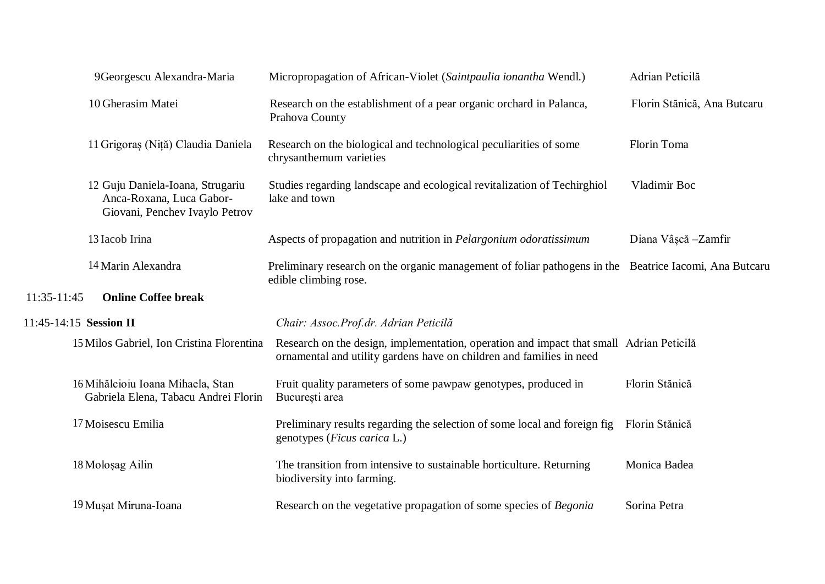|             | 9Georgescu Alexandra-Maria                                                                     | Micropropagation of African-Violet (Saintpaulia ionantha Wendl.)                                                                                                | Adrian Peticilă             |
|-------------|------------------------------------------------------------------------------------------------|-----------------------------------------------------------------------------------------------------------------------------------------------------------------|-----------------------------|
|             | 10 Gherasim Matei                                                                              | Research on the establishment of a pear organic orchard in Palanca,<br>Prahova County                                                                           | Florin Stănică, Ana Butcaru |
|             | 11 Grigoraș (Niță) Claudia Daniela                                                             | Research on the biological and technological peculiarities of some<br>chrysanthemum varieties                                                                   | Florin Toma                 |
|             | 12 Guju Daniela-Ioana, Strugariu<br>Anca-Roxana, Luca Gabor-<br>Giovani, Penchev Ivaylo Petrov | Studies regarding landscape and ecological revitalization of Techirghiol<br>lake and town                                                                       | Vladimir Boc                |
|             | 13 Iacob Irina                                                                                 | Aspects of propagation and nutrition in <i>Pelargonium odoratissimum</i>                                                                                        | Diana Vâșcă - Zamfir        |
|             | 14 Marin Alexandra                                                                             | Preliminary research on the organic management of foliar pathogens in the Beatrice Iacomi, Ana Butcaru<br>edible climbing rose.                                 |                             |
| 11:35-11:45 | <b>Online Coffee break</b>                                                                     |                                                                                                                                                                 |                             |
|             | 11:45-14:15 Session II                                                                         | Chair: Assoc.Prof.dr. Adrian Peticilă                                                                                                                           |                             |
|             | 15 Milos Gabriel, Ion Cristina Florentina                                                      | Research on the design, implementation, operation and impact that small Adrian Peticilă<br>ornamental and utility gardens have on children and families in need |                             |
|             | 16 Mihălcioiu Ioana Mihaela, Stan<br>Gabriela Elena, Tabacu Andrei Florin                      | Fruit quality parameters of some pawpaw genotypes, produced in<br>București area                                                                                | Florin Stănică              |
|             | 17 Moisescu Emilia                                                                             | Preliminary results regarding the selection of some local and foreign fig<br>genotypes ( <i>Ficus carica</i> L.)                                                | Florin Stănică              |
|             | 18 Moloşag Ailin                                                                               | The transition from intensive to sustainable horticulture. Returning<br>biodiversity into farming.                                                              | Monica Badea                |
|             | 19 Musat Miruna-Ioana                                                                          | Research on the vegetative propagation of some species of Begonia                                                                                               | Sorina Petra                |